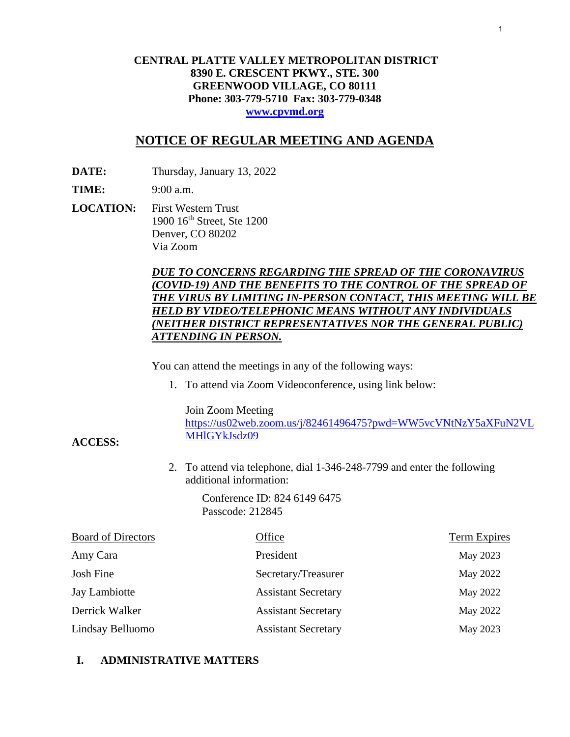## **CENTRAL PLATTE VALLEY METROPOLITAN DISTRICT 8390 E. CRESCENT PKWY., STE. 300 GREENWOOD VILLAGE, CO 80111 Phone: 303-779-5710 Fax: 303-779-0348 www.cpvmd.org**

## **NOTICE OF REGULAR MEETING AND AGENDA**

**DATE:** Thursday, January 13, 2022

**TIME:** 9:00 a.m.

**ACCESS:** 

**LOCATION:** First Western Trust 1900 16th Street, Ste 1200 Denver, CO 80202 Via Zoom

## *DUE TO CONCERNS REGARDING THE SPREAD OF THE CORONAVIRUS (COVID-19) AND THE BENEFITS TO THE CONTROL OF THE SPREAD OF THE VIRUS BY LIMITING IN-PERSON CONTACT, THIS MEETING WILL BE HELD BY VIDEO/TELEPHONIC MEANS WITHOUT ANY INDIVIDUALS (NEITHER DISTRICT REPRESENTATIVES NOR THE GENERAL PUBLIC) ATTENDING IN PERSON.*

You can attend the meetings in any of the following ways:

1. To attend via Zoom Videoconference, using link below:

Join Zoom Meeting

https://us02web.zoom.us/j/82461496475?pwd=WW5vcVNtNzY5aXFuN2VL MHlGYkJsdz09

2. To attend via telephone, dial 1-346-248-7799 and enter the following additional information:

> Conference ID: 824 6149 6475 Passcode: 212845

| <b>Board of Directors</b> | Office                     | Term Expires |
|---------------------------|----------------------------|--------------|
| Amy Cara                  | President                  | May 2023     |
| Josh Fine                 | Secretary/Treasurer        | May 2022     |
| Jay Lambiotte             | <b>Assistant Secretary</b> | May 2022     |
| Derrick Walker            | <b>Assistant Secretary</b> | May 2022     |
| Lindsay Belluomo          | <b>Assistant Secretary</b> | May 2023     |

## **I. ADMINISTRATIVE MATTERS**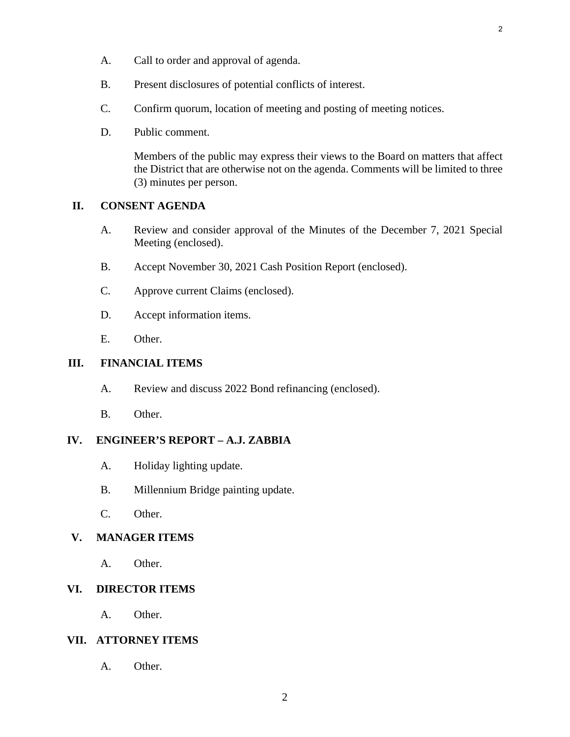- A. Call to order and approval of agenda.
- B. Present disclosures of potential conflicts of interest.
- C. Confirm quorum, location of meeting and posting of meeting notices.
- D. Public comment.

Members of the public may express their views to the Board on matters that affect the District that are otherwise not on the agenda. Comments will be limited to three (3) minutes per person.

## **II. CONSENT AGENDA**

- A. [Review and consider approval of the Minutes of the December 7, 2021 Special](#page-3-0) Meeting (enclosed).
- B. [Accept November 30, 2021 Cash Position Report \(enclosed\).](#page-6-0)
- C. [Approve current Claims \(enclosed\).](#page-8-0)
- D. Accept information items.
- E. Other.

## **III. FINANCIAL ITEMS**

- A. [Review and discuss 2022 Bond refinancing \(enclosed\).](#page-10-0)
- B. Other.

## **IV. ENGINEER'S REPORT – A.J. ZABBIA**

- A. Holiday lighting update.
- B. Millennium Bridge painting update.
- C. Other.

## **V. MANAGER ITEMS**

A. Other.

## **VI. DIRECTOR ITEMS**

A. Other.

## **VII. ATTORNEY ITEMS**

A. Other.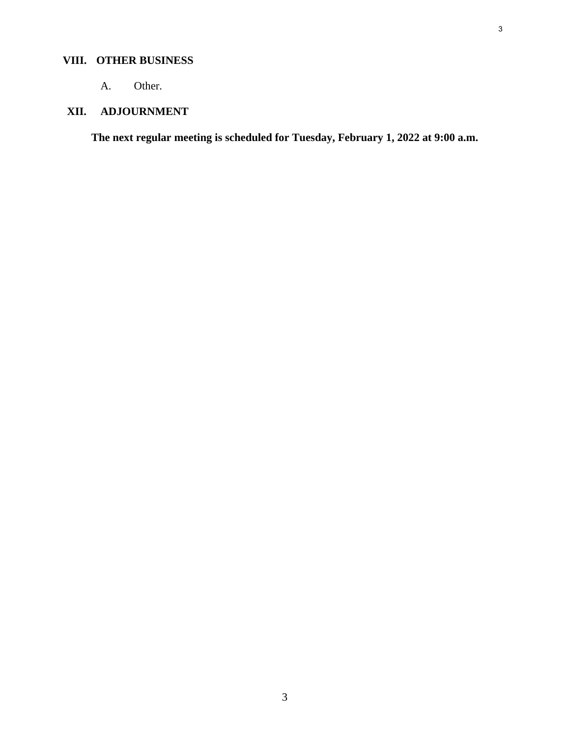## **VIII. OTHER BUSINESS**

A. Other.

## **XII. ADJOURNMENT**

**The next regular meeting is scheduled for Tuesday, February 1, 2022 at 9:00 a.m.** 

3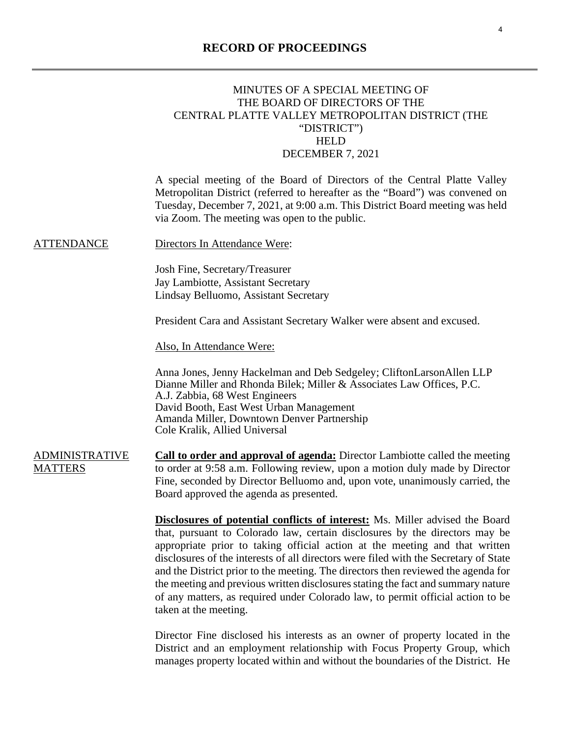## <span id="page-3-0"></span>MINUTES OF A SPECIAL MEETING OF THE BOARD OF DIRECTORS OF THE CENTRAL PLATTE VALLEY METROPOLITAN DISTRICT (THE "DISTRICT") HELD DECEMBER 7, 2021

A special meeting of the Board of Directors of the Central Platte Valley Metropolitan District (referred to hereafter as the "Board") was convened on Tuesday, December 7, 2021, at 9:00 a.m. This District Board meeting was held via Zoom. The meeting was open to the public.

ATTENDANCE Directors In Attendance Were:

Josh Fine, Secretary/Treasurer Jay Lambiotte, Assistant Secretary Lindsay Belluomo, Assistant Secretary

President Cara and Assistant Secretary Walker were absent and excused.

Also, In Attendance Were:

Anna Jones, Jenny Hackelman and Deb Sedgeley; CliftonLarsonAllen LLP Dianne Miller and Rhonda Bilek; Miller & Associates Law Offices, P.C. A.J. Zabbia, 68 West Engineers David Booth, East West Urban Management Amanda Miller, Downtown Denver Partnership Cole Kralik, Allied Universal

ADMINISTRATIVE **MATTERS Call to order and approval of agenda:** Director Lambiotte called the meeting to order at 9:58 a.m. Following review, upon a motion duly made by Director Fine, seconded by Director Belluomo and, upon vote, unanimously carried, the Board approved the agenda as presented.

> **Disclosures of potential conflicts of interest:** Ms. Miller advised the Board that, pursuant to Colorado law, certain disclosures by the directors may be appropriate prior to taking official action at the meeting and that written disclosures of the interests of all directors were filed with the Secretary of State and the District prior to the meeting. The directors then reviewed the agenda for the meeting and previous written disclosures stating the fact and summary nature of any matters, as required under Colorado law, to permit official action to be taken at the meeting.

> Director Fine disclosed his interests as an owner of property located in the District and an employment relationship with Focus Property Group, which manages property located within and without the boundaries of the District. He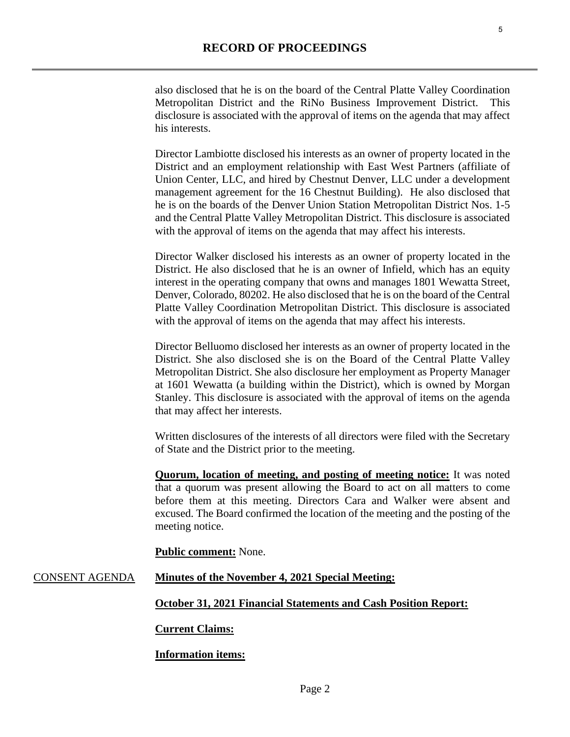also disclosed that he is on the board of the Central Platte Valley Coordination Metropolitan District and the RiNo Business Improvement District. This disclosure is associated with the approval of items on the agenda that may affect his interests.

Director Lambiotte disclosed his interests as an owner of property located in the District and an employment relationship with East West Partners (affiliate of Union Center, LLC, and hired by Chestnut Denver, LLC under a development management agreement for the 16 Chestnut Building). He also disclosed that he is on the boards of the Denver Union Station Metropolitan District Nos. 1-5 and the Central Platte Valley Metropolitan District. This disclosure is associated with the approval of items on the agenda that may affect his interests.

Director Walker disclosed his interests as an owner of property located in the District. He also disclosed that he is an owner of Infield, which has an equity interest in the operating company that owns and manages 1801 Wewatta Street, Denver, Colorado, 80202. He also disclosed that he is on the board of the Central Platte Valley Coordination Metropolitan District. This disclosure is associated with the approval of items on the agenda that may affect his interests.

Director Belluomo disclosed her interests as an owner of property located in the District. She also disclosed she is on the Board of the Central Platte Valley Metropolitan District. She also disclosure her employment as Property Manager at 1601 Wewatta (a building within the District), which is owned by Morgan Stanley. This disclosure is associated with the approval of items on the agenda that may affect her interests.

Written disclosures of the interests of all directors were filed with the Secretary of State and the District prior to the meeting.

**Quorum, location of meeting, and posting of meeting notice:** It was noted that a quorum was present allowing the Board to act on all matters to come before them at this meeting. Directors Cara and Walker were absent and excused. The Board confirmed the location of the meeting and the posting of the meeting notice.

**Public comment:** None.

## CONSENT AGENDA **Minutes of the November 4, 2021 Special Meeting:**

**October 31, 2021 Financial Statements and Cash Position Report:** 

## **Current Claims:**

## **Information items:**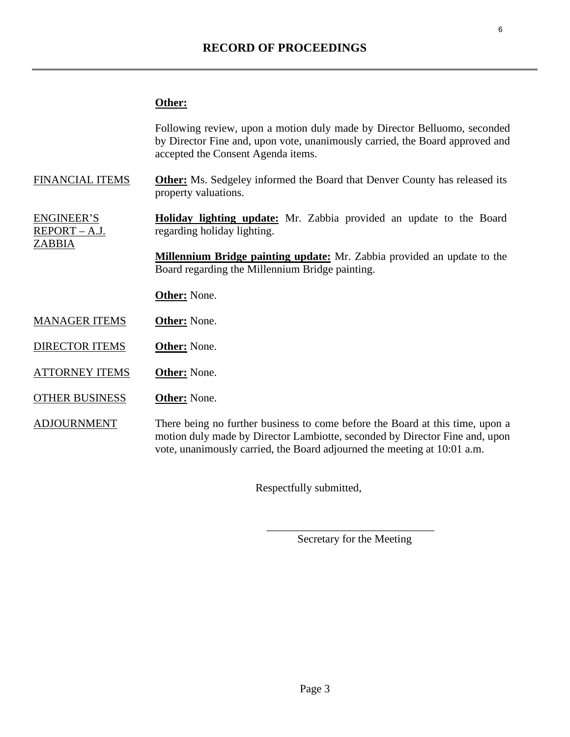## **Other:**

|                                                     | Following review, upon a motion duly made by Director Belluomo, seconded<br>by Director Fine and, upon vote, unanimously carried, the Board approved and<br>accepted the Consent Agenda items.                                           |
|-----------------------------------------------------|------------------------------------------------------------------------------------------------------------------------------------------------------------------------------------------------------------------------------------------|
| <b>FINANCIAL ITEMS</b>                              | <b>Other:</b> Ms. Sedgeley informed the Board that Denver County has released its<br>property valuations.                                                                                                                                |
| <b>ENGINEER'S</b><br>REPORT – A.J.<br><b>ZABBIA</b> | <b>Holiday lighting update:</b> Mr. Zabbia provided an update to the Board<br>regarding holiday lighting.                                                                                                                                |
|                                                     | <b>Millennium Bridge painting update:</b> Mr. Zabbia provided an update to the<br>Board regarding the Millennium Bridge painting.                                                                                                        |
|                                                     | <b>Other:</b> None.                                                                                                                                                                                                                      |
| <b>MANAGER ITEMS</b>                                | <b>Other:</b> None.                                                                                                                                                                                                                      |
| <b>DIRECTOR ITEMS</b>                               | <b>Other:</b> None.                                                                                                                                                                                                                      |
| <b>ATTORNEY ITEMS</b>                               | <b>Other:</b> None.                                                                                                                                                                                                                      |
| <b>OTHER BUSINESS</b>                               | <b>Other:</b> None.                                                                                                                                                                                                                      |
| <b>ADJOURNMENT</b>                                  | There being no further business to come before the Board at this time, upon a<br>motion duly made by Director Lambiotte, seconded by Director Fine and, upon<br>vote, unanimously carried, the Board adjourned the meeting at 10:01 a.m. |

Respectfully submitted,

Secretary for the Meeting

 $\overline{\phantom{a}}$  , which is a set of the set of the set of the set of the set of the set of the set of the set of the set of the set of the set of the set of the set of the set of the set of the set of the set of the set of th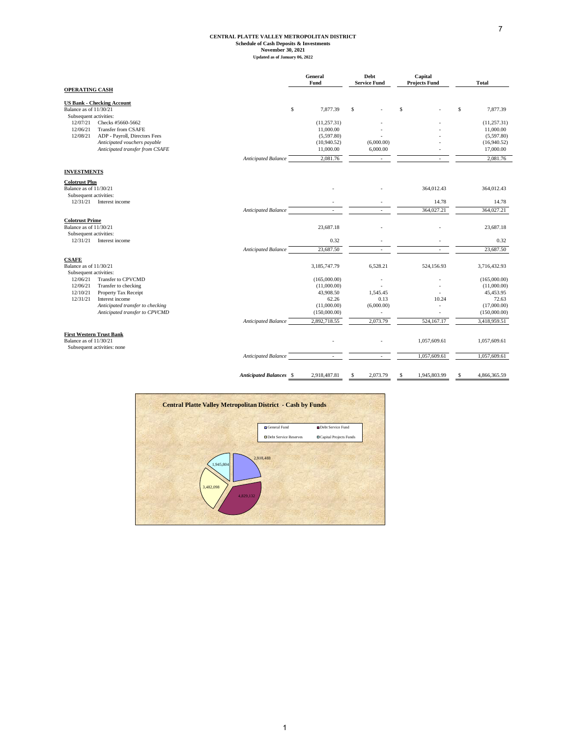#### 7

## **CENTRAL PLATTE VALLEY METROPOLITAN DISTRICT Schedule of Cash Deposits & Investments November 30, 2021 Updated as of January 06, 2022**

<span id="page-6-0"></span>

|                                                                                                                                                                                                                                       |                                | General<br>Fund                                                                  | Debt<br><b>Service Fund</b>              | Capital<br><b>Projects Fund</b> | <b>Total</b>                                                                     |
|---------------------------------------------------------------------------------------------------------------------------------------------------------------------------------------------------------------------------------------|--------------------------------|----------------------------------------------------------------------------------|------------------------------------------|---------------------------------|----------------------------------------------------------------------------------|
| <b>OPERATING CASH</b>                                                                                                                                                                                                                 |                                |                                                                                  |                                          |                                 |                                                                                  |
| <b>US Bank - Checking Account</b><br>Balance as of 11/30/21<br>Subsequent activities:                                                                                                                                                 | \$                             | 7,877.39                                                                         | $\mathbb{S}$                             | s                               | \$<br>7,877.39                                                                   |
| 12/07/21<br>Checks #5660-5662                                                                                                                                                                                                         |                                | (11, 257.31)                                                                     |                                          |                                 | (11, 257.31)                                                                     |
| 12/06/21<br>Transfer from CSAFE                                                                                                                                                                                                       |                                | 11,000.00                                                                        |                                          |                                 | 11,000.00                                                                        |
| 12/08/21<br>ADP - Payroll, Directors Fees                                                                                                                                                                                             |                                | (5,597.80)                                                                       |                                          |                                 | (5,597.80)                                                                       |
| Anticipated vouchers payable                                                                                                                                                                                                          |                                | (10,940.52)                                                                      | (6,000.00)                               |                                 | (16,940.52)                                                                      |
| Anticipated transfer from CSAFE                                                                                                                                                                                                       |                                | 11,000.00                                                                        | 6,000.00                                 |                                 | 17,000.00                                                                        |
|                                                                                                                                                                                                                                       | <b>Anticipated Balance</b>     | 2,081.76                                                                         | $\sim$                                   | $\sim$                          | 2,081.76                                                                         |
| <b>INVESTMENTS</b>                                                                                                                                                                                                                    |                                |                                                                                  |                                          |                                 |                                                                                  |
| <b>Colotrust Plus</b><br>Balance as of 11/30/21<br>Subsequent activities:                                                                                                                                                             |                                |                                                                                  |                                          | 364,012.43                      | 364,012.43                                                                       |
| 12/31/21 Interest income                                                                                                                                                                                                              |                                |                                                                                  |                                          | 14.78                           | 14.78                                                                            |
|                                                                                                                                                                                                                                       | Anticipated Balance            | ä,                                                                               |                                          | 364,027.21                      | 364,027.21                                                                       |
| <b>Colotrust Prime</b><br>Balance as of 11/30/21<br>Subsequent activities:<br>12/31/21 Interest income                                                                                                                                |                                | 23,687.18<br>0.32                                                                |                                          |                                 | 23,687.18<br>0.32                                                                |
|                                                                                                                                                                                                                                       | <b>Anticipated Balance</b>     | 23,687.50                                                                        |                                          |                                 | 23,687.50                                                                        |
| <b>CSAFE</b><br>Balance as of 11/30/21                                                                                                                                                                                                |                                | 3,185,747.79                                                                     | 6,528.21                                 | 524,156.93                      | 3,716,432.93                                                                     |
| Subsequent activities:<br>12/06/21<br>Transfer to CPVCMD<br>12/06/21<br>Transfer to checking<br>12/10/21<br>Property Tax Receipt<br>12/31/21<br>Interest income<br>Anticipated transfer to checking<br>Anticipated transfer to CPVCMD |                                | (165,000.00)<br>(11,000.00)<br>43,908.50<br>62.26<br>(11,000.00)<br>(150,000.00) | 1,545.45<br>0.13<br>(6,000.00)<br>$\sim$ | 10.24<br>ä,<br>÷                | (165,000.00)<br>(11,000.00)<br>45,453.95<br>72.63<br>(17,000.00)<br>(150,000.00) |
|                                                                                                                                                                                                                                       | Anticipated Balance            | 2,892,718.55                                                                     | 2,073.79                                 | 524,167.17                      | 3,418,959.51                                                                     |
| <b>First Western Trust Bank</b><br>Balance as of 11/30/21<br>Subsequent activities: none                                                                                                                                              |                                |                                                                                  |                                          | 1,057,609.61                    | 1,057,609.61                                                                     |
|                                                                                                                                                                                                                                       | <b>Anticipated Balance</b>     | $\sim$                                                                           |                                          | 1,057,609.61                    | 1,057,609.61                                                                     |
|                                                                                                                                                                                                                                       | <b>Anticipated Balances \$</b> | 2,918,487.81                                                                     | 2,073.79<br>S                            | 1,945,803.99<br>S               | \$<br>4,866,365.59                                                               |

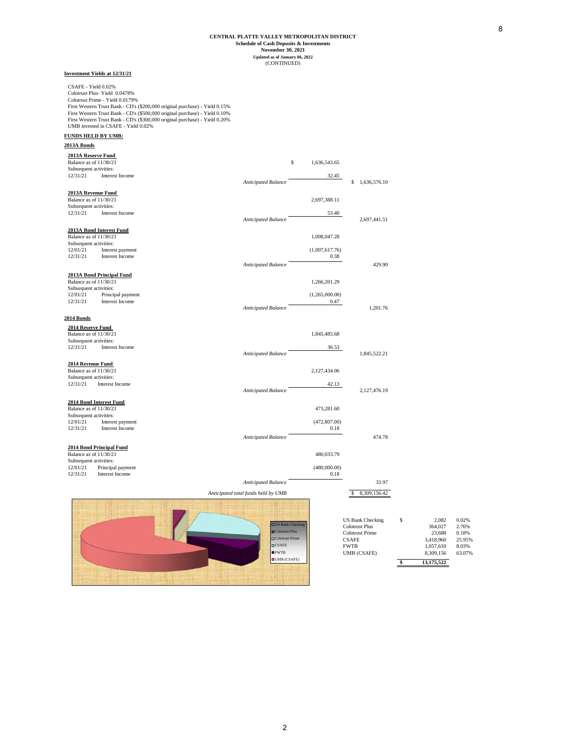#### **November 30, 2021 Schedule of Cash Deposits & Investments Updated as of January 06, 2022** (CONTINUED) **CENTRAL PLATTE VALLEY METROPOLITAN DISTRICT**

*Anticipated Balance* **8 1,636,576.10** 

*Anticipated Balance* 2,697,441.51

Anticipated Balance 429.90

*Anticipated Balance* 1,201.76

*Anticipated Balance* 1,845,522.21

*Anticipated Balance* 2,127,476.19

*Anticipated Balance* 474.78

#### **Investment Yields at 12/31/21**

CSAFE - Yield 0.02% Colotrust Plus- Yield 0.0478% Colotrust Prime - Yield 0.0179% First Western Trust Bank - CD's (\$200,000 original purchase) - Yield 0.15% First Western Trust Bank - CD's (\$500,000 original purchase) - Yield 0.10% First Western Trust Bank - CD's (\$300,000 original purchase) - Yield 0.20% UMB invested in CSAFE - Yield 0.02%

#### **FUNDS HELD BY UMB:**

**2013A Bonds**

## **2013A Reserve Fund 11/30/21 11/30/21 12:00 12:00 12:00 12:00 12:00 12:00 12:00 12:00 13:00 14:00 14:00 14:00 14:00 14:00 14:00 14:00 14:00 14:00 14:00 14:00 14:00 14:00 14:00 14:00 14:00 14:00 14:00 14:00 14:00 14:00 14:0**

Subsequent activities: 12/31/21 Interest Income 32.45

#### **2013A Revenue Fund**

Balance as of 11/30/21 2,697,388.11 Subsequent activities: 12/31/21 Interest Income 53.40

## **2013A Bond Interest Fund**

**Balance as of 11/30/21** 1,008,047.28 Subsequent activities:  $1201/21$  Interest payment (1,007,617.76)<br> $12/31/21$  Interest income (2.31 Interest Income 0.38

#### **2013A Bond Principal Fund**

Balance as of 11/30/21 1,266,201.29 Subsequent activities: 12/01/21 Principal payment (1,265,000.00) (1,265,000.00) (1,265,000.00) (1,265,000.00)

#### **2014 Bonds**

**2014 Reserve Fund**  Balance as of  $11/30/21$  1,845,485.68 Subsequent activities: 12/31/21 Interest Income 36.53

#### **2014 Revenue Fund**

Balance as of 11/30/21 2,127,434.06 Subsequent activities: 12/31/21 Interest Income 42.13

#### **2014 Bond Interest Fund**

**Balance as of 11/30/21** 473,281.60 Subsequent activities: 12/01/21 Interest payment (472,807.00)<br>
12/31/21 Interest Income 0.18 0.18

#### **2014 Bond Principal Fund**

**Balance as of 11/30/21** 480,033.79

## Subsequent activities: 12/01/21 Principal payment (480,000.00) 12/31/21 Interest Income 0.18 *Anticipated Balance* 33.97 Anticipated total funds held by UMB  $$ 8,309,156.42$



| <b>US Bank Checking</b> | S | 2.082      | 0.02%  |
|-------------------------|---|------------|--------|
| Colotrust Plus          |   | 364,027    | 2.76%  |
| Colotrust Prime         |   | 23.688     | 0.18%  |
| <b>CSAFE</b>            |   | 3.418.960  | 25.95% |
| <b>FWTB</b>             |   | 1.057.610  | 8.03%  |
| <b>UMB</b> (CSAFE)      |   | 8,309,156  | 63.07% |
|                         |   | 13.175.522 |        |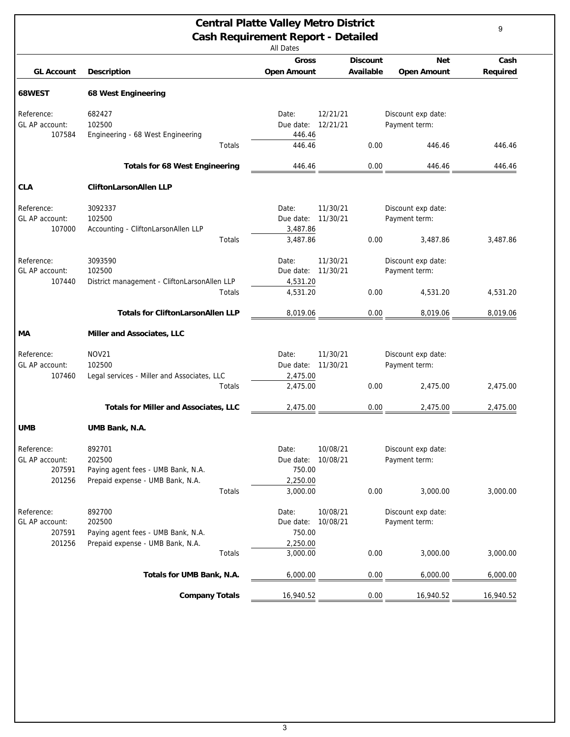<span id="page-8-0"></span>

| <b>Central Platte Valley Metro District</b><br><b>Cash Requirement Report - Detailed</b><br><b>All Dates</b> |                                                                                            |                                          |                      |                                     |           |  |  |
|--------------------------------------------------------------------------------------------------------------|--------------------------------------------------------------------------------------------|------------------------------------------|----------------------|-------------------------------------|-----------|--|--|
|                                                                                                              |                                                                                            | <b>Gross</b>                             | <b>Discount</b>      | <b>Net</b>                          | Cash      |  |  |
| <b>GL Account</b>                                                                                            | <b>Description</b>                                                                         | <b>Open Amount</b>                       | Available            | <b>Open Amount</b>                  | Required  |  |  |
| 68WEST                                                                                                       | 68 West Engineering                                                                        |                                          |                      |                                     |           |  |  |
| Reference:<br>GL AP account:<br>107584                                                                       | 682427<br>102500<br>Engineering - 68 West Engineering                                      | Date:<br>Due date:<br>446.46             | 12/21/21<br>12/21/21 | Discount exp date:<br>Payment term: |           |  |  |
|                                                                                                              | Totals                                                                                     | 446.46                                   | 0.00                 | 446.46                              | 446.46    |  |  |
|                                                                                                              | <b>Totals for 68 West Engineering</b>                                                      | 446.46                                   | 0.00                 | 446.46                              | 446.46    |  |  |
| <b>CLA</b>                                                                                                   | <b>CliftonLarsonAllen LLP</b>                                                              |                                          |                      |                                     |           |  |  |
| Reference:<br>GL AP account:<br>107000                                                                       | 3092337<br>102500<br>Accounting - CliftonLarsonAllen LLP                                   | Date:<br>Due date:<br>3,487.86           | 11/30/21<br>11/30/21 | Discount exp date:<br>Payment term: |           |  |  |
|                                                                                                              | Totals                                                                                     | 3,487.86                                 | 0.00                 | 3,487.86                            | 3,487.86  |  |  |
| Reference:<br>GL AP account:<br>107440                                                                       | 3093590<br>102500<br>District management - CliftonLarsonAllen LLP                          | Date:<br>Due date:<br>4,531.20           | 11/30/21<br>11/30/21 | Discount exp date:<br>Payment term: |           |  |  |
|                                                                                                              | Totals                                                                                     | 4,531.20                                 | 0.00                 | 4,531.20                            | 4,531.20  |  |  |
|                                                                                                              | <b>Totals for CliftonLarsonAllen LLP</b>                                                   | 8,019.06                                 | 0.00                 | 8,019.06                            | 8,019.06  |  |  |
| MА                                                                                                           | Miller and Associates, LLC                                                                 |                                          |                      |                                     |           |  |  |
| Reference:<br>GL AP account:<br>107460                                                                       | <b>NOV21</b><br>102500<br>Legal services - Miller and Associates, LLC                      | Date:<br>Due date:<br>2,475.00           | 11/30/21<br>11/30/21 | Discount exp date:<br>Payment term: |           |  |  |
|                                                                                                              | Totals                                                                                     | 2,475.00                                 | 0.00                 | 2,475.00                            | 2,475.00  |  |  |
|                                                                                                              | <b>Totals for Miller and Associates, LLC</b>                                               | 2,475.00                                 | 0.00                 | 2,475.00                            | 2,475.00  |  |  |
| <b>UMB</b>                                                                                                   | UMB Bank, N.A.                                                                             |                                          |                      |                                     |           |  |  |
| Reference:<br>GL AP account:<br>207591<br>201256                                                             | 892701<br>202500<br>Paying agent fees - UMB Bank, N.A.<br>Prepaid expense - UMB Bank, N.A. | Date:<br>Due date:<br>750.00<br>2,250.00 | 10/08/21<br>10/08/21 | Discount exp date:<br>Payment term: |           |  |  |
|                                                                                                              | Totals                                                                                     | 3,000.00                                 | 0.00                 | 3,000.00                            | 3,000.00  |  |  |
| Reference:<br>GL AP account:<br>207591                                                                       | 892700<br>202500<br>Paying agent fees - UMB Bank, N.A.                                     | Date:<br>Due date:<br>750.00             | 10/08/21<br>10/08/21 | Discount exp date:<br>Payment term: |           |  |  |
| 201256                                                                                                       | Prepaid expense - UMB Bank, N.A.<br>Totals                                                 | 2,250.00<br>3,000.00                     | 0.00                 | 3,000.00                            | 3,000.00  |  |  |
|                                                                                                              | Totals for UMB Bank, N.A.                                                                  | 6,000.00                                 | 0.00                 | 6,000.00                            | 6,000.00  |  |  |
|                                                                                                              | <b>Company Totals</b>                                                                      |                                          | 0.00                 |                                     | 16,940.52 |  |  |
|                                                                                                              |                                                                                            | 16,940.52                                |                      | 16,940.52                           |           |  |  |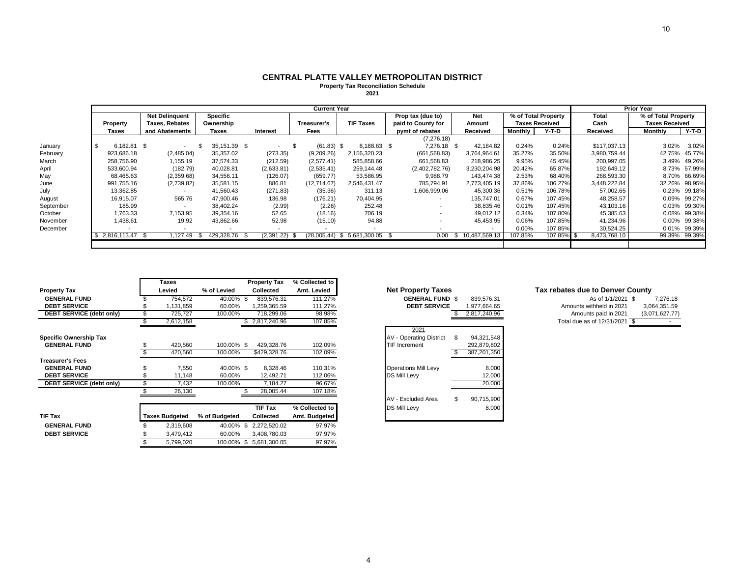#### **CENTRAL PLATTE VALLEY METROPOLITAN DISTRICT Property Tax Reconciliation Schedule**

**2021**

|           | <b>Current Year</b> |              |  |                          |    |               |    |                 |   |                    |                               |                    | <b>Prior Year</b> |                 |                       |         |  |              |                |                       |         |
|-----------|---------------------|--------------|--|--------------------------|----|---------------|----|-----------------|---|--------------------|-------------------------------|--------------------|-------------------|-----------------|-----------------------|---------|--|--------------|----------------|-----------------------|---------|
|           |                     |              |  | <b>Net Delinguent</b>    |    | Specific      |    |                 |   |                    |                               | Prop tax (due to)  |                   | <b>Net</b>      | % of Total Property   |         |  | <b>Total</b> |                | % of Total Property   |         |
|           |                     | Property     |  | <b>Taxes, Rebates</b>    |    | Ownership     |    |                 |   | <b>Treasurer's</b> | <b>TIF Taxes</b>              | paid to County for |                   | Amount          | <b>Taxes Received</b> |         |  | Cash         |                | <b>Taxes Received</b> |         |
|           |                     | <b>Taxes</b> |  | and Abatements           |    | Taxes         |    | <b>Interest</b> |   | Fees               |                               | pymt of rebates    |                   | Received        | Monthly               | Y-T-D   |  | Received     | <b>Monthly</b> |                       | $Y-T-D$ |
|           |                     |              |  |                          |    |               |    |                 |   |                    |                               | (7,276.18)         |                   |                 |                       |         |  |              |                |                       |         |
| January   |                     | 6.182.81 \$  |  | $\sim$                   |    | 35, 151.39 \$ |    | $\sim$          |   | $(61.83)$ \$       | 8.188.63 \$                   | 7.276.18 \$        |                   | 42.184.82       | 0.24%                 | 0.24%   |  | \$117,037.13 |                | 3.02%                 | 3.02%   |
| February  |                     | 923,686.18   |  | (2,485.04)               |    | 35,357.02     |    | (273.35)        |   | (9,209.26)         | 2,156,320.23                  | (661, 568.83)      |                   | 3,764,964.61    | 35.27%                | 35.50%  |  | 3,980,759.44 |                | 42.75%                | 45.77%  |
| March     |                     | 258,756.90   |  | 1,155.19                 |    | 37,574.33     |    | (212.59)        |   | (2,577.41)         | 585,858.66                    | 661,568.83         |                   | 218,986.25      | 9.95%                 | 45.45%  |  | 200,997.05   |                | 3.49%                 | 49.26%  |
| April     |                     | 533,600.94   |  | (182.79)                 |    | 40,028.81     |    | (2,633.81)      |   | (2,535.41)         | 259,144.48                    | (2,402,782.76)     |                   | 3,230,204.98    | 20.42%                | 65.87%  |  | 192,649.12   |                | 8.73%                 | 57.99%  |
| May       |                     | 68,465.63    |  | (2,359.68)               |    | 34,556.11     |    | (126.07)        |   | (659.77)           | 53,586.95                     | 9,988.79           |                   | 143,474.38      | 2.53%                 | 68.40%  |  | 268,593.30   |                | 8.70%                 | 66.69%  |
| June      |                     | 991,755.16   |  | (2,739.82)               |    | 35,581.15     |    | 886.81          |   | (12,714.67)        | 2.546.431.47                  | 785.794.91         |                   | 2,773,405.19    | 37.86%                | 106.27% |  | 3,448,222.84 |                | 32.26%                | 98.95%  |
| July      |                     | 13,362.85    |  |                          |    | 41,560.43     |    | (271.83)        |   | (35.36)            | 311.13                        | 1,606,999.06       |                   | 45,300.36       | 0.51%                 | 106.78% |  | 57,002.65    |                | 0.23%                 | 99.18%  |
| August    |                     | 16,915.07    |  | 565.76                   |    | 47,900.46     |    | 136.98          |   | (176.21)           | 70,404.95                     |                    |                   | 135.747.01      | 0.67%                 | 107.45% |  | 48,258.57    |                | 0.09%                 | 99.27%  |
| September |                     | 185.99       |  | $\overline{\phantom{a}}$ |    | 38,402.24     |    | (2.99)          |   | (2.26)             | 252.48                        |                    |                   | 38,835.46       | 0.01%                 | 107.45% |  | 43,103.16    |                | 0.03%                 | 99.30%  |
| October   |                     | 1,763.33     |  | 7,153.95                 |    | 39,354.16     |    | 52.65           |   | (18.16)            | 706.19                        |                    |                   | 49.012.12       | 0.34%                 | 107.80% |  | 45,385.63    |                | 0.08%                 | 99.38%  |
| November  |                     | 1,438.61     |  | 19.92                    |    | 43,862.66     |    | 52.98           |   | (15.10)            | 94.88                         |                    |                   | 45,453.95       | 0.06%                 | 107.85% |  | 41,234.96    |                | $0.00\%$              | 99.38%  |
| December  |                     |              |  |                          |    |               |    |                 |   |                    |                               |                    |                   |                 | 0.00%                 | 107.85% |  | 30,524.25    |                | 0.01%                 | 99.39%  |
|           |                     | 2,816,113.47 |  | .127.49                  | .১ | 429,328.76    | ৾ঌ | (2,391.22)      | ক |                    | $(28,005.44)$ \$ 5,681,300.05 | 0.00               |                   | \$10,487,569.13 | 107.85%               | 107.85% |  | 8,473,768.10 |                | 99.39%                | 99.39%  |
|           |                     |              |  |                          |    |               |    |                 |   |                    |                               |                    |                   |                 |                       |         |  |              |                |                       |         |

|                                 | <b>Taxes</b>          |                | <b>Property Tax</b>     | % Collected to |                                                      |                                          |          |
|---------------------------------|-----------------------|----------------|-------------------------|----------------|------------------------------------------------------|------------------------------------------|----------|
| <b>Property Tax</b>             | Levied                | % of Levied    | <b>Collected</b>        | Amt. Levied    | <b>Net Property Taxes</b>                            | Tax rebates due to Denver County         |          |
| <b>GENERAL FUND</b>             | 754,572               | 40.00%         | 839,576.31              | 111.27%        | <b>GENERAL FUND \$</b><br>839,576.31                 | As of 1/1/2021 \$                        | 7,276.18 |
| <b>DEBT SERVICE</b>             | 1,131,859             | 60.00%         | 1,259,365.59            | 111.27%        | <b>DEBT SERVICE</b><br>1,977,664.65                  | Amounts withheld in 2021<br>3,064,351.59 |          |
| <b>DEBT SERVICE (debt only)</b> | 725,727               | 100.00%        | 718,299.06              | 98.98%         | 2,817,240.96                                         | Amounts paid in 2021<br>(3,071,627.77)   |          |
|                                 | 2,612,158             |                | \$2,817,240.96          | 107.85%        |                                                      | Total due as of 12/31/2021 \$            |          |
| <b>Specific Ownership Tax</b>   |                       |                |                         |                | 2021<br>94,321,548<br><b>AV - Operating District</b> |                                          |          |
| <b>GENERAL FUND</b>             | 420,560               | 100.00% \$     | 429,328.76              | 102.09%        | <b>TIF Increment</b><br>292,879,802                  |                                          |          |
|                                 | 420,560               | 100.00%        | \$429,328.76            | 102.09%        | 387,201,350                                          |                                          |          |
| <b>Treasurer's Fees</b>         |                       |                |                         |                |                                                      |                                          |          |
| <b>GENERAL FUND</b>             | 7,550                 | 40.00% \$      | 8,328.46                | 110.31%        | 8.000<br><b>Operations Mill Levy</b>                 |                                          |          |
| <b>DEBT SERVICE</b>             | 11,148                | 60.00%         | 12,492.71               | 112.06%        | <b>DS Mill Levy</b><br>12.000                        |                                          |          |
| <b>DEBT SERVICE (debt only)</b> | 7,432                 | 100.00%        | 7,184.27                | 96.67%         | 20.000                                               |                                          |          |
|                                 | 26,130                |                | 28,005.44               | 107.18%        |                                                      |                                          |          |
|                                 |                       |                |                         |                | AV - Excluded Area<br>90,715,900                     |                                          |          |
|                                 |                       |                | <b>TIF Tax</b>          | % Collected to | <b>DS Mill Levy</b><br>8.000                         |                                          |          |
| TIF Tax                         | <b>Taxes Budgeted</b> | % of Budgeted  | Collected               | Amt. Budgeted  |                                                      |                                          |          |
| <b>GENERAL FUND</b>             | 2,319,608             | 40.00%<br>- \$ | 2,272,520.02            | 97.97%         |                                                      |                                          |          |
| <b>DEBT SERVICE</b>             | 3,479,412             | 60.00%         | 3,408,780.03            | 97.97%         |                                                      |                                          |          |
|                                 | 5,799,020             |                | 100.00% \$ 5,681,300.05 | 97.97%         |                                                      |                                          |          |

| <b>Net Property Taxes</b><br><b>GENERAL FUND \$</b><br><b>DEBT SERVICE</b> | \$. | 839,576.31<br>1.977.664.65<br>2,817,240.96 |
|----------------------------------------------------------------------------|-----|--------------------------------------------|
| 2021                                                                       |     |                                            |
| <b>AV - Operating District</b>                                             | \$  | 94,321,548                                 |
| <b>TIF Increment</b>                                                       |     | 292.879.802                                |
|                                                                            | \$. | 387,201,350                                |
| <b>Operations Mill Levy</b>                                                |     | 8.000                                      |
| DS Mill Levy                                                               |     | 12.000                                     |
|                                                                            |     | 20.000                                     |
| AV - Excluded Area                                                         | \$  | 90,715,900                                 |

#### $Tax$  rebates due to Denver County

| As of 1/1/2021 \$          |     | 7.276.18       |
|----------------------------|-----|----------------|
| Amounts withheld in 2021   |     | 3.064.351.59   |
| Amounts paid in 2021       |     | (3,071,627.77) |
| Total due as of 12/31/2021 | . ጽ |                |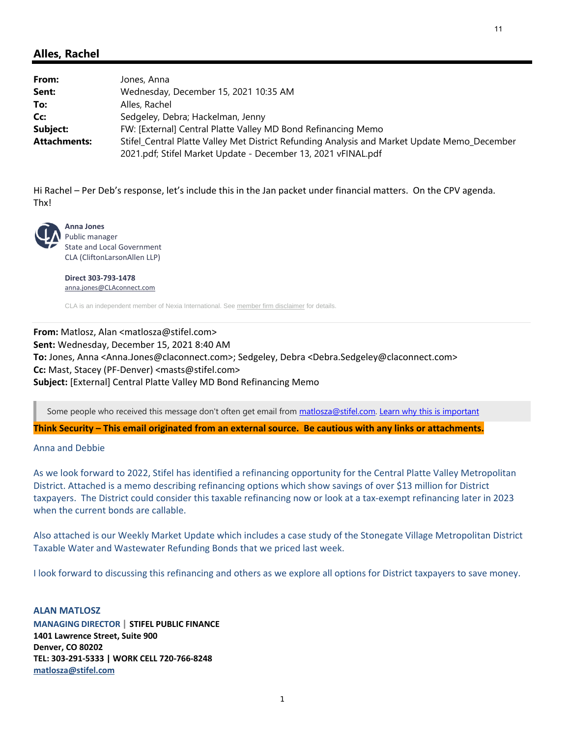## <span id="page-10-0"></span>**Alles, Rachel**

| From:               | Jones, Anna                                                                                  |
|---------------------|----------------------------------------------------------------------------------------------|
| Sent:               | Wednesday, December 15, 2021 10:35 AM                                                        |
| To:                 | Alles, Rachel                                                                                |
| Cc:                 | Sedgeley, Debra; Hackelman, Jenny                                                            |
| Subject:            | FW: [External] Central Platte Valley MD Bond Refinancing Memo                                |
| <b>Attachments:</b> | Stifel_Central Platte Valley Met District Refunding Analysis and Market Update Memo_December |
|                     | 2021.pdf; Stifel Market Update - December 13, 2021 vFINAL.pdf                                |

Hi Rachel – Per Deb's response, let's include this in the Jan packet under financial matters. On the CPV agenda. Thx!



**Anna Jones** Public manager State and Local Government CLA (CliftonLarsonAllen LLP)

**Direct 303‐793‐1478** anna.jones@CLAconnect.com

CLA is an independent member of Nexia International. See member firm disclaimer for details.

## **From:** Matlosz, Alan <matlosza@stifel.com> **Sent:** Wednesday, December 15, 2021 8:40 AM **To:** Jones, Anna <Anna.Jones@claconnect.com>; Sedgeley, Debra <Debra.Sedgeley@claconnect.com> **Cc:** Mast, Stacey (PF‐Denver) <masts@stifel.com> **Subject:** [External] Central Platte Valley MD Bond Refinancing Memo

Some people who received this message don't often get email from matlosza@stifel.com. Learn why this is important

Think Security – This email originated from an external source. Be cautious with any links or attachments.

### Anna and Debbie

As we look forward to 2022, Stifel has identified a refinancing opportunity for the Central Platte Valley Metropolitan District. Attached is a memo describing refinancing options which show savings of over \$13 million for District taxpayers. The District could consider this taxable refinancing now or look at a tax‐exempt refinancing later in 2023 when the current bonds are callable.

Also attached is our Weekly Market Update which includes a case study of the Stonegate Village Metropolitan District Taxable Water and Wastewater Refunding Bonds that we priced last week.

I look forward to discussing this refinancing and others as we explore all options for District taxpayers to save money.

### **ALAN MATLOSZ**

**MANAGING DIRECTOR | STIFEL PUBLIC FINANCE 1401 Lawrence Street, Suite 900 Denver, CO 80202 TEL: 303‐291‐5333 | WORK CELL 720‐766‐8248 matlosza@stifel.com**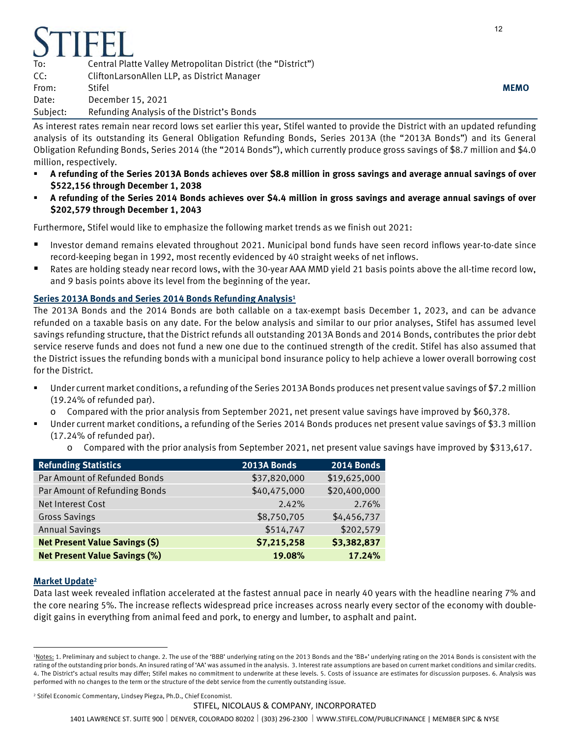| <b>STIFEI</b> |                                                              |             |
|---------------|--------------------------------------------------------------|-------------|
| To:           | Central Platte Valley Metropolitan District (the "District") |             |
| CC:           | CliftonLarsonAllen LLP, as District Manager                  |             |
| From:         | Stifel                                                       | <b>MEMO</b> |
| Date:         | December 15, 2021                                            |             |
| Subject:      | Refunding Analysis of the District's Bonds                   |             |

As interest rates remain near record lows set earlier this year, Stifel wanted to provide the District with an updated refunding analysis of its outstanding its General Obligation Refunding Bonds, Series 2013A (the "2013A Bonds") and its General Obligation Refunding Bonds, Series 2014 (the "2014 Bonds"), which currently produce gross savings of \$8.7 million and \$4.0 million, respectively.

- **A refunding of the Series 2013A Bonds achieves over \$8.8 million in gross savings and average annual savings of over \$522,156 through December 1, 2038**
- **A refunding of the Series 2014 Bonds achieves over \$4.4 million in gross savings and average annual savings of over \$202,579 through December 1, 2043**

Furthermore, Stifel would like to emphasize the following market trends as we finish out 2021:

- Investor demand remains elevated throughout 2021. Municipal bond funds have seen record inflows year-to-date since record-keeping began in 1992, most recently evidenced by 40 straight weeks of net inflows.
- Rates are holding steady near record lows, with the 30-year AAA MMD yield 21 basis points above the all-time record low, and 9 basis points above its level from the beginning of the year.

## **Series 2013A Bonds and Series 2014 Bonds Refunding Analysis<sup>1</sup>**

The 2013A Bonds and the 2014 Bonds are both callable on a tax-exempt basis December 1, 2023, and can be advance refunded on a taxable basis on any date. For the below analysis and similar to our prior analyses, Stifel has assumed level savings refunding structure, that the District refunds all outstanding 2013A Bonds and 2014 Bonds, contributes the prior debt service reserve funds and does not fund a new one due to the continued strength of the credit. Stifel has also assumed that the District issues the refunding bonds with a municipal bond insurance policy to help achieve a lower overall borrowing cost for the District.

- Under current market conditions, a refunding of the Series 2013A Bonds produces net present value savings of \$7.2 million (19.24% of refunded par).
	- o Compared with the prior analysis from September 2021, net present value savings have improved by \$60,378.
	- Under current market conditions, a refunding of the Series 2014 Bonds produces net present value savings of \$3.3 million (17.24% of refunded par).
		- o Compared with the prior analysis from September 2021, net present value savings have improved by \$313,617.

| <b>Refunding Statistics</b>           | 2013A Bonds  | <b>2014 Bonds</b> |
|---------------------------------------|--------------|-------------------|
| Par Amount of Refunded Bonds          | \$37,820,000 | \$19,625,000      |
| Par Amount of Refunding Bonds         | \$40,475,000 | \$20,400,000      |
| Net Interest Cost                     | 2.42%        | 2.76%             |
| <b>Gross Savings</b>                  | \$8,750,705  | \$4,456,737       |
| <b>Annual Savings</b>                 | \$514,747    | \$202,579         |
| <b>Net Present Value Savings (\$)</b> | \$7,215,258  | \$3,382,837       |
| <b>Net Present Value Savings (%)</b>  | 19.08%       | 17.24%            |

## **Market Update<sup>2</sup>**

 $\overline{a}$ 

Data last week revealed inflation accelerated at the fastest annual pace in nearly 40 years with the headline nearing 7% and the core nearing 5%. The increase reflects widespread price increases across nearly every sector of the economy with doubledigit gains in everything from animal feed and pork, to energy and lumber, to asphalt and paint.

<sup>&</sup>lt;sup>1</sup>Notes: 1. Preliminary and subject to change. 2. The use of the 'BBB' underlying rating on the 2013 Bonds and the 'BB+' underlying rating on the 2014 Bonds is consistent with the rating of the outstanding prior bonds. An insured rating of 'AA' was assumed in the analysis. 3. Interest rate assumptions are based on current market conditions and similar credits. 4. The District's actual results may differ; Stifel makes no commitment to underwrite at these levels. 5. Costs of issuance are estimates for discussion purposes. 6. Analysis was performed with no changes to the term or the structure of the debt service from the currently outstanding issue.

<sup>2</sup> Stifel Economic Commentary, Lindsey Piegza, Ph.D., Chief Economist.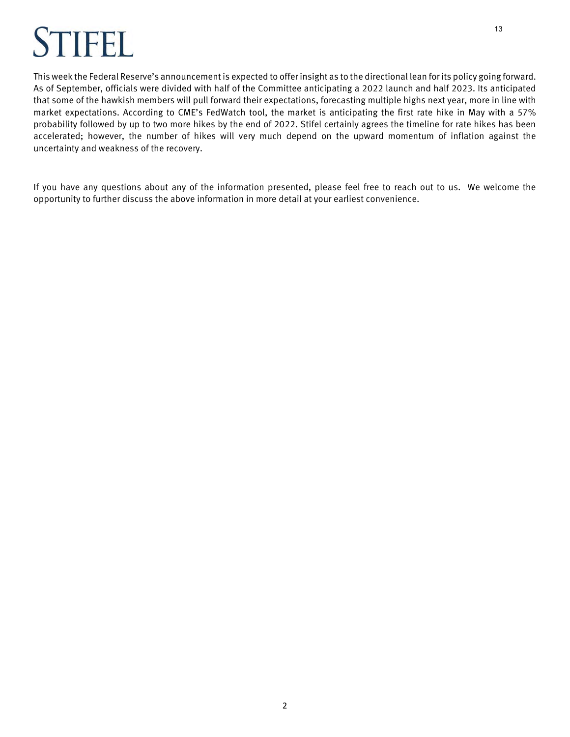# TIFFI.

This week the Federal Reserve's announcement is expected to offer insight as to the directional lean for its policy going forward. As of September, officials were divided with half of the Committee anticipating a 2022 launch and half 2023. Its anticipated that some of the hawkish members will pull forward their expectations, forecasting multiple highs next year, more in line with market expectations. According to CME's FedWatch tool, the market is anticipating the first rate hike in May with a 57% probability followed by up to two more hikes by the end of 2022. Stifel certainly agrees the timeline for rate hikes has been accelerated; however, the number of hikes will very much depend on the upward momentum of inflation against the uncertainty and weakness of the recovery.

If you have any questions about any of the information presented, please feel free to reach out to us. We welcome the opportunity to further discuss the above information in more detail at your earliest convenience.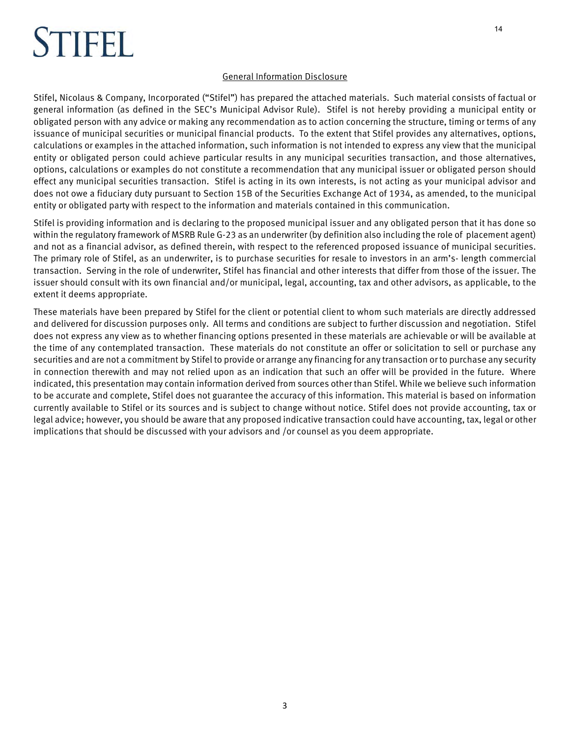# STIFEL

## General Information Disclosure

Stifel, Nicolaus & Company, Incorporated ("Stifel") has prepared the attached materials. Such material consists of factual or general information (as defined in the SEC's Municipal Advisor Rule). Stifel is not hereby providing a municipal entity or obligated person with any advice or making any recommendation as to action concerning the structure, timing or terms of any issuance of municipal securities or municipal financial products. To the extent that Stifel provides any alternatives, options, calculations or examples in the attached information, such information is not intended to express any view that the municipal entity or obligated person could achieve particular results in any municipal securities transaction, and those alternatives, options, calculations or examples do not constitute a recommendation that any municipal issuer or obligated person should effect any municipal securities transaction. Stifel is acting in its own interests, is not acting as your municipal advisor and does not owe a fiduciary duty pursuant to Section 15B of the Securities Exchange Act of 1934, as amended, to the municipal entity or obligated party with respect to the information and materials contained in this communication.

Stifel is providing information and is declaring to the proposed municipal issuer and any obligated person that it has done so within the regulatory framework of MSRB Rule G-23 as an underwriter (by definition also including the role of placement agent) and not as a financial advisor, as defined therein, with respect to the referenced proposed issuance of municipal securities. The primary role of Stifel, as an underwriter, is to purchase securities for resale to investors in an arm's- length commercial transaction. Serving in the role of underwriter, Stifel has financial and other interests that differ from those of the issuer. The issuer should consult with its own financial and/or municipal, legal, accounting, tax and other advisors, as applicable, to the extent it deems appropriate.

These materials have been prepared by Stifel for the client or potential client to whom such materials are directly addressed and delivered for discussion purposes only. All terms and conditions are subject to further discussion and negotiation. Stifel does not express any view as to whether financing options presented in these materials are achievable or will be available at the time of any contemplated transaction. These materials do not constitute an offer or solicitation to sell or purchase any securities and are not a commitment by Stifel to provide or arrange any financing for any transaction or to purchase any security in connection therewith and may not relied upon as an indication that such an offer will be provided in the future. Where indicated, this presentation may contain information derived from sources other than Stifel. While we believe such information to be accurate and complete, Stifel does not guarantee the accuracy of this information. This material is based on information currently available to Stifel or its sources and is subject to change without notice. Stifel does not provide accounting, tax or legal advice; however, you should be aware that any proposed indicative transaction could have accounting, tax, legal or other implications that should be discussed with your advisors and /or counsel as you deem appropriate.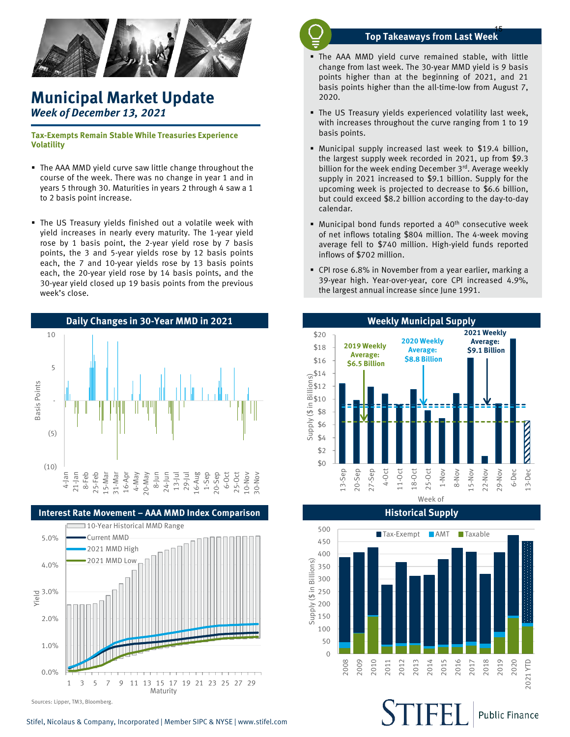

## **Municipal Market Update** *Week of December 13, 2021*

**Tax-Exempts Remain Stable While Treasuries Experience Volatility**

- The AAA MMD yield curve saw little change throughout the course of the week. There was no change in year 1 and in years 5 through 30. Maturities in years 2 through 4 saw a 1 to 2 basis point increase.
- The US Treasury yields finished out a volatile week with yield increases in nearly every maturity. The 1-year yield rose by 1 basis point, the 2-year yield rose by 7 basis points, the 3 and 5-year yields rose by 12 basis points each, the 7 and 10-year yields rose by 13 basis points each, the 20-year yield rose by 14 basis points, and the 30-year yield closed up 19 basis points from the previous week's close.





Sources: Lipper, TM3, Bloomberg.

## **Top Takeaways from Last Week** 15

- The AAA MMD yield curve remained stable, with little change from last week. The 30-year MMD yield is 9 basis points higher than at the beginning of 2021, and 21 basis points higher than the all-time-low from August 7, 2020.
- The US Treasury yields experienced volatility last week, with increases throughout the curve ranging from 1 to 19 basis points.
- Municipal supply increased last week to \$19.4 billion, the largest supply week recorded in 2021, up from \$9.3 billion for the week ending December 3rd. Average weekly supply in 2021 increased to \$9.1 billion. Supply for the upcoming week is projected to decrease to \$6.6 billion, but could exceed \$8.2 billion according to the day-to-day calendar.
- $\blacksquare$  Municipal bond funds reported a 40<sup>th</sup> consecutive week of net inflows totaling \$804 million. The 4-week moving average fell to \$740 million. High-yield funds reported inflows of \$702 million.
- CPI rose 6.8% in November from a year earlier, marking a 39-year high. Year-over-year, core CPI increased 4.9%, the largest annual increase since June 1991.



500 ■Tax-Exempt ■ AMT ■Taxable 450 400 upply (\$ in Billions) Supply (\$ in Billions) 350 300 250 200 150 5 100 50 0 2010 2016 2018 2020 2008 2009 2012 2013 2014 2015 2017 2019 2011 2021 YTD

**Historical Supply**

**Public Finance**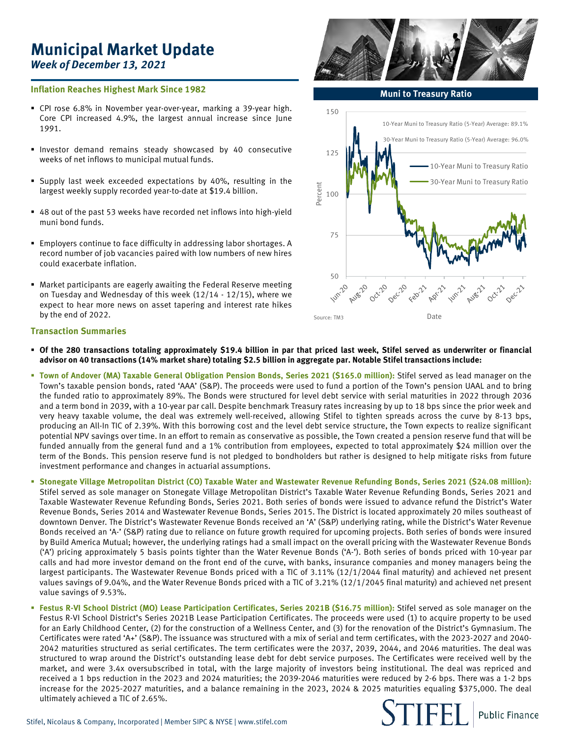## **Municipal Market Update** *Week of December 13, 2021*

### **Inflation Reaches Highest Mark Since 1982**

- CPI rose 6.8% in November year-over-year, marking a 39-year high. Core CPI increased 4.9%, the largest annual increase since June 1991.
- Investor demand remains steady showcased by 40 consecutive weeks of net inflows to municipal mutual funds.
- Supply last week exceeded expectations by 40%, resulting in the largest weekly supply recorded year-to-date at \$19.4 billion.
- 48 out of the past 53 weeks have recorded net inflows into high-yield muni bond funds.
- Employers continue to face difficulty in addressing labor shortages. A record number of job vacancies paired with low numbers of new hires could exacerbate inflation.
- Market participants are eagerly awaiting the Federal Reserve meeting on Tuesday and Wednesday of this week (12/14 - 12/15), where we expect to hear more news on asset tapering and interest rate hikes by the end of 2022.

## **Transaction Summaries**

- Of the 280 transactions totaling approximately \$19.4 billion in par that priced last week, Stifel served as underwriter or financial advisor on 40 transactions (14% market share) totaling \$2.5 billion in aggregate par. Notable Stifel transactions include:
- **Town of Andover (MA) Taxable General Obligation Pension Bonds, Series 2021 (\$165.0 million):** Stifel served as lead manager on the Town's taxable pension bonds, rated 'AAA' (S&P). The proceeds were used to fund a portion of the Town's pension UAAL and to bring the funded ratio to approximately 89%. The Bonds were structured for level debt service with serial maturities in 2022 through 2036 and a term bond in 2039, with a 10-year par call. Despite benchmark Treasury rates increasing by up to 18 bps since the prior week and very heavy taxable volume, the deal was extremely well-received, allowing Stifel to tighten spreads across the curve by 8-13 bps, producing an All-In TIC of 2.39%. With this borrowing cost and the level debt service structure, the Town expects to realize significant potential NPV savings over time. In an effort to remain as conservative as possible, the Town created a pension reserve fund that will be funded annually from the general fund and a 1% contribution from employees, expected to total approximately \$24 million over the term of the Bonds. This pension reserve fund is not pledged to bondholders but rather is designed to help mitigate risks from future investment performance and changes in actuarial assumptions.
- Stonegate Village Metropolitan District (CO) Taxable Water and Wastewater Revenue Refunding Bonds, Series 2021 (\$24.08 million): Stifel served as sole manager on Stonegate Village Metropolitan District's Taxable Water Revenue Refunding Bonds, Series 2021 and Taxable Wastewater Revenue Refunding Bonds, Series 2021. Both series of bonds were issued to advance refund the District's Water Revenue Bonds, Series 2014 and Wastewater Revenue Bonds, Series 2015. The District is located approximately 20 miles southeast of downtown Denver. The District's Wastewater Revenue Bonds received an 'A' (S&P) underlying rating, while the District's Water Revenue Bonds received an 'A-' (S&P) rating due to reliance on future growth required for upcoming projects. Both series of bonds were insured by Build America Mutual; however, the underlying ratings had a small impact on the overall pricing with the Wastewater Revenue Bonds ('A') pricing approximately 5 basis points tighter than the Water Revenue Bonds ('A-'). Both series of bonds priced with 10-year par calls and had more investor demand on the front end of the curve, with banks, insurance companies and money managers being the largest participants. The Wastewater Revenue Bonds priced with a TIC of 3.11% (12/1/2044 final maturity) and achieved net present values savings of 9.04%, and the Water Revenue Bonds priced with a TIC of 3.21% (12/1/2045 final maturity) and achieved net present value savings of 9.53%.
- **Festus R-VI School District (MO) Lease Participation Certificates, Series 2021B (\$16.75 million):** Stifel served as sole manager on the Festus R-VI School District's Series 2021B Lease Participation Certificates. The proceeds were used (1) to acquire property to be used for an Early Childhood Center, (2) for the construction of a Wellness Center, and (3) for the renovation of the District's Gymnasium. The Certificates were rated 'A+' (S&P). The issuance was structured with a mix of serial and term certificates, with the 2023-2027 and 2040- 2042 maturities structured as serial certificates. The term certificates were the 2037, 2039, 2044, and 2046 maturities. The deal was structured to wrap around the District's outstanding lease debt for debt service purposes. The Certificates were received well by the market, and were 3.4x oversubscribed in total, with the large majority of investors being institutional. The deal was repriced and received a 1 bps reduction in the 2023 and 2024 maturities; the 2039-2046 maturities were reduced by 2-6 bps. There was a 1-2 bps increase for the 2025-2027 maturities, and a balance remaining in the 2023, 2024 & 2025 maturities equaling \$375,000. The deal ultimately achieved a TIC of 2.65%.

**Muni to Treasury Ratio** 





**Public Finance**